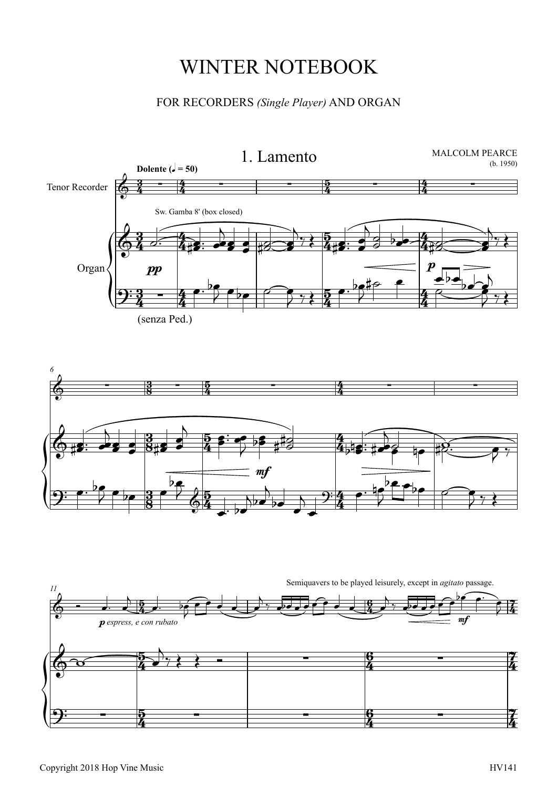## WINTER NOTEBOOK

## FOR RECORDERS *(Single Player)*AND ORGAN